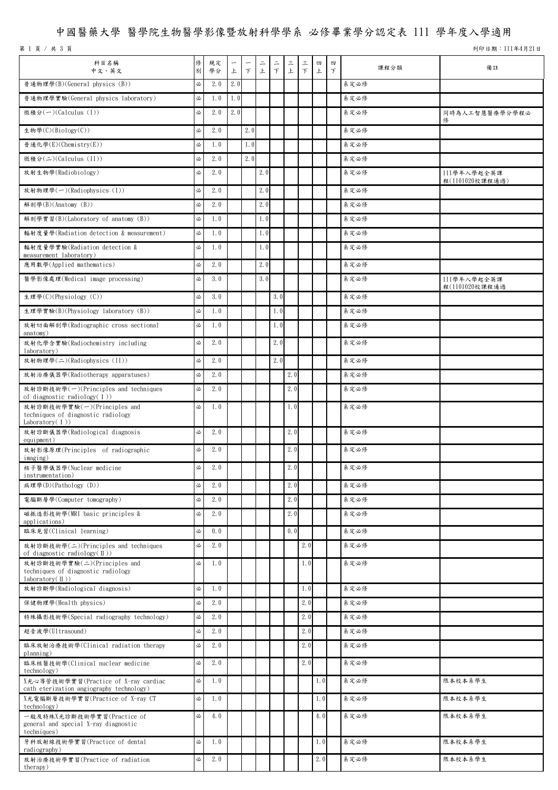# 中國醫藥大學 醫學院生物醫學影像暨放射科學學系 必修畢業學分認定表 111 學年度入學適用

第 1 頁 / 共 3 頁

列印日期:111年4月21日

| 科目名稱<br>中文、英文                                                                         | 俢<br>別 | 規定<br>學分       | 上   | $\top$ | $\equiv$<br>上 | $\equiv$<br>$\top$ | 三<br>$\, \pm$ | 三<br>$\top$ | 四<br>上           | 四<br>$\top$ | 課程分類     | 備註                             |
|---------------------------------------------------------------------------------------|--------|----------------|-----|--------|---------------|--------------------|---------------|-------------|------------------|-------------|----------|--------------------------------|
| 普通物理學(B)(General physics (B))                                                         | 必      | 2.0            | 2.0 |        |               |                    |               |             |                  |             | 系定必修     |                                |
| 普通物理學實驗(General physics laboratory)                                                   | 必      | 1.0            | 1.0 |        |               |                    |               |             |                  |             | 系定必修     |                                |
| 微積分(一)(Calculus (I))                                                                  | 必      | 2.0            | 2.0 |        |               |                    |               |             |                  |             | 系定必修     | 同時為人工智慧醫療學分學程必<br>俢            |
| 生物學(C)(Biology(C))                                                                    | 必      | 2.0            |     | 2.0    |               |                    |               |             |                  |             | 系定必修     |                                |
| 普通化學(E)(Chemistry(E))                                                                 | 必      | 1.0            |     | 1.0    |               |                    |               |             |                  |             | 系定必修     |                                |
| 微積分(二)(Calculus (II))                                                                 | 必      | 2.0            |     | 2.0    |               |                    |               |             |                  |             | 系定必修     |                                |
| 放射生物學(Radiobiology)                                                                   | 必      | 2.0            |     |        | 2.0           |                    |               |             |                  |             | 系定必修     | 111學年入學起全英課<br>程(1101020校課程通過) |
| 放射物理學(一)(Radiophysics (I))                                                            | 必      | 2.0            |     |        | 2.0           |                    |               |             |                  |             | 系定必修     |                                |
| 解剖學(B)(Anatomy (B))                                                                   | 必      | 2.0            |     |        | 2.0           |                    |               |             |                  |             | 系定必修     |                                |
| 解剖學實習(B)(Laboratory of anatomy (B))                                                   | 必      | 1.0            |     |        | 1.0           |                    |               |             |                  |             | 系定必修     |                                |
| 輻射度量學(Radiation detection & measurement)                                              | 必      | 1.0            |     |        | 1.0           |                    |               |             |                  |             | 系定必修     |                                |
| 輻射度量學實驗(Radiation detection &<br>measurement laboratory)                              | 必      | 1.0            |     |        | 1.0           |                    |               |             |                  |             | 系定必修     |                                |
| 應用數學(Applied mathematics)                                                             | 必      | 2.0            |     |        | 2.0           |                    |               |             |                  |             | 系定必修     |                                |
| 醫學影像處理(Medical image processing)                                                      | 必      | 3.0            |     |        | 3.0           |                    |               |             |                  |             | 系定必修     | 111學年入學起全英課<br>程(1101020校課程通過  |
| 生理學(C)(Physiology (C))                                                                | 必      | 3.0            |     |        |               | 3.0                |               |             |                  |             | 系定必修     |                                |
| 生理學實驗(B)(Physiology laboratory (B))                                                   | 必      | 1.0            |     |        |               | 1.0                |               |             |                  |             | 系定必修     |                                |
| 放射切面解剖學(Radiographic cross sectional<br>anatomy)                                      | 必      | 1.0            |     |        |               | 1.0                |               |             |                  |             | 系定必修     |                                |
| 放射化學含實驗(Radiochemistry including<br>laboratory)                                       | 必      | 2.0            |     |        |               | 2.0                |               |             |                  |             | 系定必修     |                                |
| 放射物理學(二)(Radiophysics (II))                                                           | 必      | 2.0            |     |        |               | 2.0                |               |             |                  |             | 系定必修     |                                |
| 放射治療儀器學(Radiotherapy apparatuses)                                                     | 必      | 2.0            |     |        |               |                    | 2.0           |             |                  |             | 系定必修     |                                |
| 放射診斷技術學(一)(Principles and techniques<br>of diagnostic radiology $(1)$ )               | 必      | 2.0            |     |        |               |                    | 2.0           |             |                  |             | 系定必修     |                                |
| 放射診斷技術學實驗(一)(Principles and<br>techniques of diagnostic radiology<br>Laboratory $(1)$ | 必      | 1.0            |     |        |               |                    | 1.0           |             |                  |             | 系定必修     |                                |
| 放射診斷儀器學(Radiological diagnosis<br>equipment)                                          | 必      | 2.0            |     |        |               |                    | 2.0           |             |                  |             | 系定必修     |                                |
| 放射影像原理(Principles of radiographic<br>imaging)                                         | 必      | 2.0            |     |        |               |                    | 2.0           |             |                  |             | 系定必修     |                                |
| 核子醫學儀器學(Nuclear medicine<br>instrumentation)                                          | 必      | 2.0            |     |        |               |                    | 2.0           |             |                  |             | 系定必修     |                                |
| 病理學(D)(Pathology (D))                                                                 | 必      | 2.0            |     |        |               |                    | 2.0           |             |                  |             | 系定必修     |                                |
| 電腦斷層學(Computer tomography)                                                            | 必      | 2.0            |     |        |               |                    | 2.0           |             |                  |             | 系定必修     |                                |
| 磁振造影技術學(MRI basic principles &<br>applications)                                       | 必      | 2.0            |     |        |               |                    | 2.0           |             |                  |             | 系定必修     |                                |
| 臨床見習(Clinical learning)                                                               | 必      | 0.0            |     |        |               |                    | 0.0           |             |                  |             | 系定必修     |                                |
| 放射診斷技術學(二)(Principles and techniques<br>of diagnostic radiology( $\text{I}$ ))        | 必      | 2.0            |     |        |               |                    |               | 2.0         |                  |             | 系定必修     |                                |
| 放射診斷技術學實驗(二)(Principles and<br>techniques of diagnostic radiology<br>laboratory(II))  | 必      | 1.0            |     |        |               |                    |               | 1.0         |                  |             | 系定必修     |                                |
| 放射診斷學(Radiological diagnosis)                                                         | 必      | 1.0            |     |        |               |                    |               | 1.0         |                  |             | 系定必修     |                                |
| 保健物理學(Health physics)                                                                 | 必      | 2.0            |     |        |               |                    |               | 2.0         |                  |             | 系定必修     |                                |
| 特殊攝影技術學(Special radiography technology)                                               | 必      | 2.0            |     |        |               |                    |               | 2.0         |                  |             | 系定必修     |                                |
| 超音波學(Ultrasound)                                                                      | 必      | 2.0            |     |        |               |                    |               | 2.0         |                  |             | 系定必修     |                                |
| 臨床放射治療技術學(Clinical radiation therapy<br>planning)                                     | 必      | 2.0            |     |        |               |                    |               | 2.0         |                  |             | 系定必修     |                                |
| 臨床核醫技術學(Clinical nuclear medicine<br>technology)                                      | 必      | 2.0            |     |        |               |                    |               | 2.0         |                  |             | 系定必修     |                                |
| X光心導管技術學實習(Practice of X-ray cardiac<br>cath eterization angiography technology)      | 必      | 1.0            |     |        |               |                    |               |             | 1.0 <sub>l</sub> |             | 系定必修     | 限本校本系學生                        |
| X光電腦斷層技術學實習(Practice of X-ray CT<br>technology)                                       | 必      | 1.0            |     |        |               |                    |               |             | 1.0 <sub>l</sub> |             | 系定必修     | 限本校本系學生                        |
| 一般及特殊X光診斷技術學實習(Practice of<br>general and special X-ray diagnostic<br>techniques)     | 必      | 4.0            |     |        |               |                    |               |             | 4.0              |             | 系定必修     | 限本校本系學生                        |
| 牙科放射線技術學實習(Practice of dental<br>radiography)                                         | 必      | 1.0            |     |        |               |                    |               |             | 1.0              |             | 系定必修     | 限本校本系學生                        |
| 放射治療技術學實習(Practice of radiation<br>therapy)                                           |        | $\sqrt{2}$ 2.0 |     |        |               |                    |               |             |                  |             | 2.0 系定必修 | 限本校本系學生                        |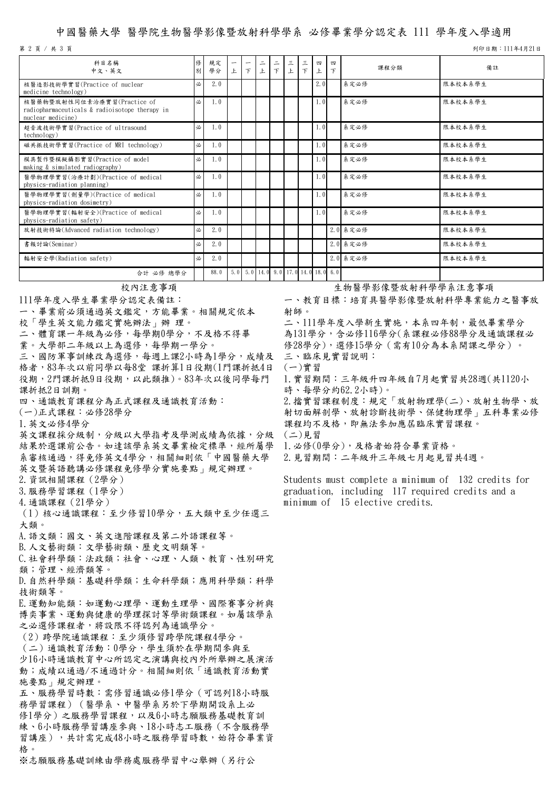#### 中國醫藥大學 醫學院生物醫學影像暨放射科學學系 必修畢業學分認定表 111 學年度入學適用

列印日期:111年4月21日

| 科目名稱<br>中文、英文                                                                                      | 修<br>別 | 規定<br>學分 | $\overline{\phantom{m}}$<br>上 | $\overline{\phantom{m}}$<br>$\top$ | $\equiv$<br>上 | $\equiv$<br>$\top$ | $\tilde{=}$<br>上                                                                  | $\equiv$<br>$\tau$ | 四<br>上 | 四<br>$\top$ | 課程分類     | 備註      |
|----------------------------------------------------------------------------------------------------|--------|----------|-------------------------------|------------------------------------|---------------|--------------------|-----------------------------------------------------------------------------------|--------------------|--------|-------------|----------|---------|
| 核醫造影技術學實習(Practice of nuclear<br>medicine technology)                                              | 必      | 2.0      |                               |                                    |               |                    |                                                                                   |                    | 2.0    |             | 系定必修     | 限本校本系學生 |
| 核醫藥物暨放射性同位素治療實習(Practice of<br>radiopharmaceuticals & radioisotope therapy in<br>nuclear medicine) | 必      | 1.0      |                               |                                    |               |                    |                                                                                   |                    | 1.0    |             | 系定必修     | 限本校本系學生 |
| 超音波技術學實習(Practice of ultrasound<br>technology)                                                     | 必      | 1.0      |                               |                                    |               |                    |                                                                                   |                    | 1.0    |             | 系定必修     | 限本校本系學生 |
| 磁共振技術學實習(Practice of MRI technology)                                                               | 必      | 1.0      |                               |                                    |               |                    |                                                                                   |                    | 1.0    |             | 系定必修     | 限本校本系學生 |
| 模具製作暨模擬攝影實習(Practice of model<br>making & simulated radiography)                                   | 必      | 1.0      |                               |                                    |               |                    |                                                                                   |                    | 1.0    |             | 系定必修     | 限本校本系學生 |
| 醫學物理學實習(治療計劃)(Practice of medical<br>physics-radiation planning)                                   | 必      | 1.0      |                               |                                    |               |                    |                                                                                   |                    | 1.0    |             | 系定必修     | 限本校本系學生 |
| 醫學物理學實習(劑量學)(Practice of medical<br>physics-radiation dosimetry)                                   | 必      | 1.0      |                               |                                    |               |                    |                                                                                   |                    | 1.0    |             | 系定必修     | 限本校本系學生 |
| 醫學物理學實習(輻射安全)(Practice of medical<br>physics-radiation safety)                                     | 必      | 1.0      |                               |                                    |               |                    |                                                                                   |                    | 1.0    |             | 系定必修     | 限本校本系學生 |
| 放射技術特論(Advanced radiation technology)                                                              | 必      | 2.0      |                               |                                    |               |                    |                                                                                   |                    |        |             | 2.0 系定必修 | 限本校本系學生 |
| 書報討論(Seminar)                                                                                      | 必      | 2.0      |                               |                                    |               |                    |                                                                                   |                    |        |             | 2.0 系定必修 | 限本校本系學生 |
| 輻射安全學(Radiation safety)                                                                            | 必      | 2.0      |                               |                                    |               |                    |                                                                                   |                    |        |             | 2.0 系定必修 | 限本校本系學生 |
| 合計 必修 總學分                                                                                          |        | 88.0     |                               |                                    |               |                    | $5.0$ $\begin{bmatrix} 5.0 & 14.0 & 9.0 & 17.0 & 14.0 & 18.0 & 6.0 \end{bmatrix}$ |                    |        |             |          |         |

111學年度入學生畢業學分認定表備註:

一、畢業前必須通過英文鑑定,方能畢業。相關規定依本

校「學生英文能力鑑定實施辦法」辦 理。

二、體育課一年級為必修,每學期0學分,不及格不得畢

業。大學部二年級以上為選修,每學期一學分。

三、國防軍事訓練改為選修,每週上課2小時為1學分,成績及 格者,83年次以前同學以每8堂 課折算1日役期(1門課折抵4日 役期, 2門課折抵9日役期, 以此類推)。83年次以後同學每門 課折抵2日訓期。

四、通識教育課程分為正式課程及通識教育活動:

(一)正式課程:必修28學分

1.英文必修4學分

第 2 頁 / 共 3 頁

英文課程採分級制,分級以大學指考及學測成績為依據,分級 結果於選課前公告。如達該學系英文畢業檢定標準,經所屬學 系審核通過,得免修英文4學分,相關細則依「中國醫藥大學 英文暨英語聽講必修課程免修學分實施要點」規定辦理。

2.資訊相關課程(2學分)

3.服務學習課程(1學分)

4.通識課程(21學分)

(1)核心通識課程:至少修習10學分,五大類中至少任選三 大類。

A.語文類:國文、英文進階課程及第二外語課程等。

B.人文藝術類:文學藝術類、歷史文明類等。

C.社會科學類:法政類;社會、心理、人類、教育、性別研究 類;管理、經濟類等。

D.自然科學類:基礎科學類;生命科學類;應用科學類;科學 技術類等。

E.運動知能類:如運動心理學、運動生理學、國際賽事分析與 博奕事業、運動與健康的學理探討等學術類課程。如屬該學系 之必選修課程者,將設限不得認列為通識學分。

(2)跨學院通識課程:至少須修習跨學院課程4學分。 (二)通識教育活動:0學分,學生須於在學期間參與至 少16小時通識教育中心所認定之演講與校內外所舉辦之展演活 動;成績以通過/不通過計分。相關細則依「通識教育活動實 施要點」規定辦理。

五、服務學習時數:需修習通識必修1學分(可認列18小時服 務學習課程)(醫學系、中醫學系另於下學期開設系上必 修1學分)之服務學習課程,以及6小時志願服務基礎教育訓 練、6小時服務學習講座參與、18小時志工服務(不含服務學 習講座),共計需完成48小時之服務學習時數,始符合畢業資 格。<br>※志願服務基礎訓練由學務處服務學習中心舉辦(另行公

## 校內注意事項 安全的第三人称单数 医罗瑟埃登放射科學學系注意事項

一、教育目標:培育具醫學影像暨放射科學專業能力之醫事放 射師。

二、111學年度入學新生實施,本系四年制,最低畢業學分 為131學分,含必修116學分(系課程必修88學分及通識課程必 修28學分),選修15學分(需有10分為本系開課之學分)。 三、臨床見實習說明:

(一)實習

1.實習期間:三年級升四年級自7月起實習共28週(共1120小 時、每學分約62.2小時)。

2.擋實習課程制度:規定「放射物理學(二)、放射生物學、放 射切面解剖學、放射診斷技術學、保健物理學」五科專業必修 課程均不及格,即無法參加應屆臨床實習課程。 (二)見習

1.必修(0學分),及格者始符合畢業資格。

2.見習期間:二年級升三年級七月起見習共4週。

Students must complete a minimum of 132 credits for graduation, including 117 required credits and a minimum of 15 elective credits.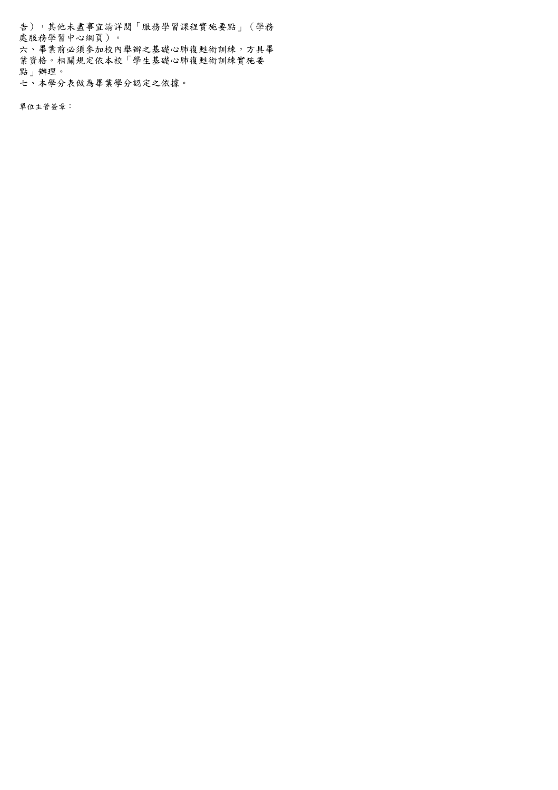告),其他未盡事宜請詳閱「服務學習課程實施要點」(學務 處服務學習中心網頁)。 六、畢業前必須參加校內舉辦之基礎心肺復甦術訓練,方具畢 業資格。相關規定依本校「學生基礎心肺復甦術訓練實施要 點」辦理。 七、本學分表做為畢業學分認定之依據。

單位主管簽章: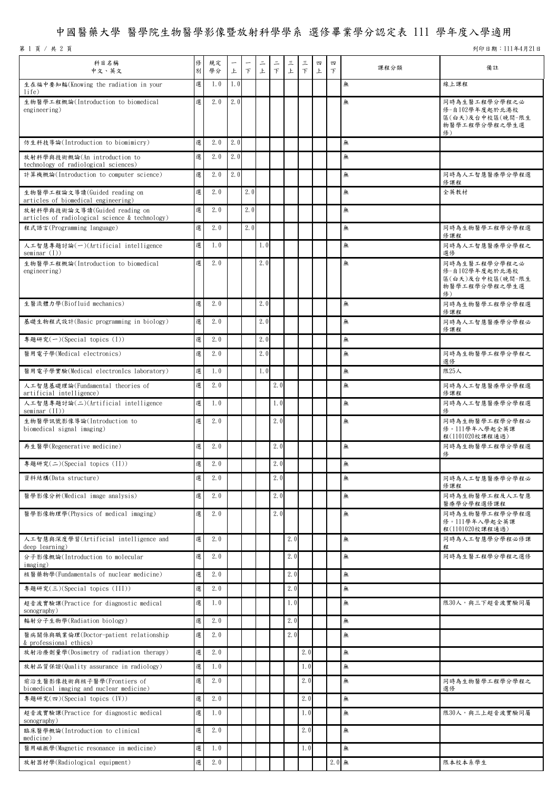# 中國醫藥大學 醫學院生物醫學影像暨放射科學學系 選修畢業學分認定表 111 學年度入學適用

第 1 頁 / 共 2 頁

列印日期:111年4月21日

| 科目名稱<br>中文、英文                                                                   | 俢<br>別 | 規定<br>學分 | 上   | $\mathcal{F}$ | 二<br>上 | 二<br>F | 三<br>上 | 三<br>$\top$ | 四<br>$\pm$ | 四<br>$\top$ | 課程分類 | 備註                                                                         |
|---------------------------------------------------------------------------------|--------|----------|-----|---------------|--------|--------|--------|-------------|------------|-------------|------|----------------------------------------------------------------------------|
| 生在福中要知輻(Knowing the radiation in your<br>life)                                  | 選      | 1.0      | 1.0 |               |        |        |        |             |            |             | 無    | 線上課程                                                                       |
| 生物醫學工程概論(Introduction to biomedical<br>engineering)                             | 選      | 2.0      | 2.0 |               |        |        |        |             |            |             | 無    | 同時為生醫工程學分學程之必<br>修-自102學年度起於北港校<br>區(白天)及台中校區(晚間-限生<br>物醫學工程學分學程之學生選<br>修) |
| 仿生科技導論(Introduction to biomimicry)                                              | 選      | 2.0      | 2.0 |               |        |        |        |             |            |             | 無    |                                                                            |
| 放射科學與技術概論(An introduction to<br>technology of radiological sciences)            | 選      | 2.0      | 2.0 |               |        |        |        |             |            |             | 無    |                                                                            |
| 計算機概論(Introduction to computer science)                                         | 選      | 2.0      | 2.0 |               |        |        |        |             |            |             | 無    | 同時為人工智慧醫療學分學程選<br>修課程                                                      |
| 生物醫學工程論文導讀(Guided reading on<br>articles of biomedical engineering)             | 選      | 2.0      |     | 2.0           |        |        |        |             |            |             | 無    | 全英教材                                                                       |
| 放射科學與技術論文導讀(Guided reading on<br>articles of radiological science & technology) | 選      | 2.0      |     | 2.0           |        |        |        |             |            |             | 無    |                                                                            |
| 程式語言(Programming language)                                                      | 選      | 2.0      |     | 2.0           |        |        |        |             |            |             | 無    | 同時為生物醫學工程學分學程選<br>修課程                                                      |
| 人工智慧專題討論(一)(Artificial intelligence<br>seminar $(1)$                            | 選      | 1.0      |     |               | 1.0    |        |        |             |            |             | 無    | 同時為人工智慧醫療學分學程之<br>選修                                                       |
| 生物醫學工程概論(Introduction to biomedical<br>engineering)                             | 選      | 2.0      |     |               | 2.0    |        |        |             |            |             | 無    | 同時為生醫工程學分學程之必<br>修-自102學年度起於北港校<br>區(白天)及台中校區(晚間-限生<br>物醫學工程學分學程之學生選<br>修) |
| 生醫流體力學(Biofluid mechanics)                                                      | 選      | 2.0      |     |               | 2.0    |        |        |             |            |             | 無    | 同時為生物醫學工程學分學程選<br>修課程                                                      |
| 基礎生物程式設計(Basic programming in biology)                                          | 選      | 2.0      |     |               | 2.0    |        |        |             |            |             | 無    | 同時為人工智慧醫療學分學程必<br>修課程                                                      |
| 專題研究(一)(Special topics (I))                                                     | 選      | 2.0      |     |               | 2.0    |        |        |             |            |             | 無    |                                                                            |
| 醫用電子學(Medical electronics)                                                      | 選      | 2.0      |     |               | 2.0    |        |        |             |            |             | 無    | 同時為生物醫學工程學分學程之<br>選修                                                       |
| 醫用電子學實驗(Medical electronIcs laboratory)                                         | 選      | 1.0      |     |               | 1.0    |        |        |             |            |             | 無    | 限25人                                                                       |
| 人工智慧基礎理論(Fundamental theories of<br>artificial intelligence)                    | 選      | 2.0      |     |               |        | 2.0    |        |             |            |             | 無    | 同時為人工智慧醫療學分學程選<br>修課程                                                      |
| 人工智慧專題討論(二)(Artificial intelligence<br>seminar $(II)$ )                         |        | 選 1.0    |     |               |        | 1.0    |        |             |            |             | 無    | 同時為人工智慧醫療學分學程選<br>俢                                                        |
| 生物醫學訊號影像導論(Introduction to<br>biomedical signal imaging)                        | 選      | 2.0      |     |               |        | 2.0    |        |             |            |             | 無    | 同時為生物醫學工程學分學程必<br>修。111學年入學起全英課<br>程(1101020校課程通過)                         |
| 再生醫學(Regenerative medicine)                                                     | 選      | 2.0      |     |               |        | 2.0    |        |             |            |             | 無    | 同時為生物醫學工程學分學程選<br>俢                                                        |
| 專題研究(二)(Special topics (II))                                                    | 選      | 2.0      |     |               |        | 2.0    |        |             |            |             | 無    |                                                                            |
| 資料結構(Data structure)                                                            | 選      | 2.0      |     |               |        | 2.0    |        |             |            |             | 無    | 同時為人工智慧醫療學分學程必<br>修課程                                                      |
| 醫學影像分析(Medical image analysis)                                                  | 選      | 2.0      |     |               |        | 2.0    |        |             |            |             | 無    | 同時為生物醫學工程及人工智慧<br>醫療學分學程選修課程                                               |
| 醫學影像物理學(Physics of medical imaging)                                             | 選      | 2.0      |     |               |        | 2.0    |        |             |            |             | 無    | 同時為生物醫學工程學分學程選<br>修。111學年入學起全英課<br>程(1101020校課程通過)                         |
| 人工智慧與深度學習(Artificial intelligence and<br>deep learning)                         | 選      | 2.0      |     |               |        |        | 2.0    |             |            |             | 無    | 同時為人工智慧學分學程必修課<br>程                                                        |
| 分子影像概論(Introduction to molecular<br>imaging)                                    | 選      | 2.0      |     |               |        |        | 2.0    |             |            |             | 無    | 同時為生醫工程學分學程之選修                                                             |
| 核醫藥物學(Fundamentals of nuclear medicine)                                         | 選      | 2.0      |     |               |        |        | 2.0    |             |            |             | 無    |                                                                            |
| 專題研究(三)(Special topics (III))                                                   | 選      | 2.0      |     |               |        |        | 2.0    |             |            |             | 無    |                                                                            |
| 超音波實驗課(Practice for diagnostic medical<br>sonography)                           | 選      | 1.0      |     |               |        |        | 1.0    |             |            |             | 無    | 限30人,與三下超音波實驗同屬                                                            |
| 輻射分子生物學(Radiation biology)                                                      | 選      | 2.0      |     |               |        |        | 2.0    |             |            |             | 無    |                                                                            |
| 醫病關係與職業倫理(Doctor-patient relationship<br>& professional ethics)                 | 選      | 2.0      |     |               |        |        | 2.0    |             |            |             | 無    |                                                                            |
| 放射治療劑量學(Dosimetry of radiation therapy)                                         | 選      | 2.0      |     |               |        |        |        | 2.0         |            |             | 無    |                                                                            |
| 放射品質保證(Quality assurance in radiology)                                          | 選      | 1.0      |     |               |        |        |        | 1.0         |            |             | 無    |                                                                            |
| 前沿生醫影像技術與核子醫學(Frontiers of<br>biomedical imaging and nuclear medicine)          | 選      | 2.0      |     |               |        |        |        | 2.0         |            |             | 無    | 同時為生物醫學工程學分學程之<br>選修                                                       |
| 專題研究(四)(Special topics (IV))                                                    | 選      | 2.0      |     |               |        |        |        | 2.0         |            |             | 無    |                                                                            |
| 超音波實驗課(Practice for diagnostic medical<br>sonography)                           | 選      | 1.0      |     |               |        |        |        | 1.0         |            |             | 無    | 限30人,與三上超音波實驗同屬                                                            |
| 臨床醫學概論(Introduction to clinical<br>medicine)                                    | 選      | 2.0      |     |               |        |        |        | 2.0         |            |             | 無    |                                                                            |
| 醫用磁振學(Magnetic resonance in medicine)                                           | 選      | 1.0      |     |               |        |        |        | 1.0         |            |             | 無    |                                                                            |
| 放射器材學(Radiological equipment)                                                   |        | 選 2.0    |     |               |        |        |        |             |            | $2.0$ 無     |      | 限本校本系學生                                                                    |